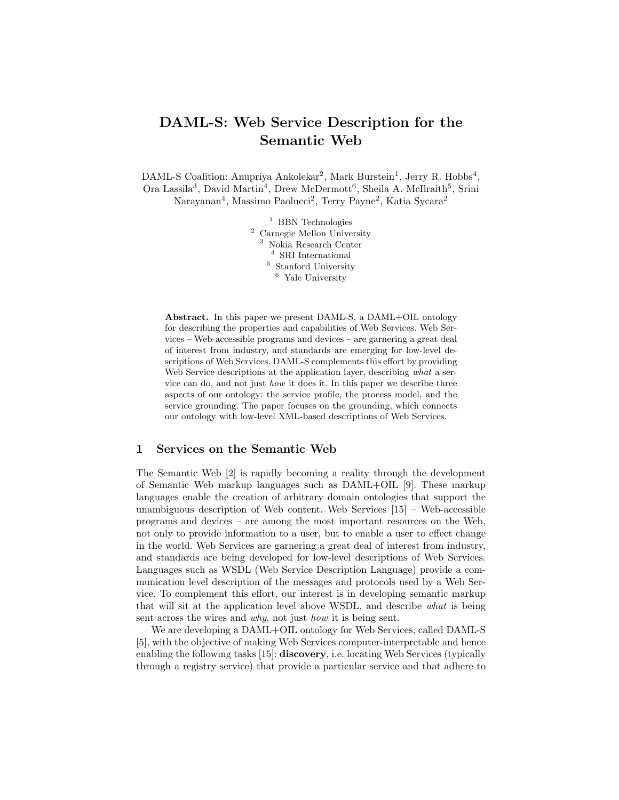# DAML-S: Web Service Description for the Semantic Web

DAML-S Coalition: Anupriya Ankolekar<sup>2</sup>, Mark Burstein<sup>1</sup>, Jerry R. Hobbs<sup>4</sup>, Ora Lassila<sup>3</sup>, David Martin<sup>4</sup>, Drew McDermott<sup>6</sup>, Sheila A. McIlraith<sup>5</sup>, Srini Narayanan<sup>4</sup>, Massimo Paolucci<sup>2</sup>, Terry Payne<sup>2</sup>, Katia Sycara<sup>2</sup>

> <sup>1</sup> BBN Technologies Carnegie Mellon University Nokia Research Center SRI International Stanford University  $^6\,$  Yale University

Abstract. In this paper we present DAML-S, a DAML+OIL ontology for describing the properties and capabilities of Web Services. Web Services – Web-accessible programs and devices – are garnering a great deal of interest from industry, and standards are emerging for low-level descriptions of Web Services. DAML-S complements this effort by providing Web Service descriptions at the application layer, describing what a service can do, and not just how it does it. In this paper we describe three aspects of our ontology: the service profile, the process model, and the service grounding. The paper focuses on the grounding, which connects our ontology with low-level XML-based descriptions of Web Services.

### 1 Services on the Semantic Web

The Semantic Web [2] is rapidly becoming a reality through the development of Semantic Web markup languages such as DAML+OIL [9]. These markup languages enable the creation of arbitrary domain ontologies that support the unambiguous description of Web content. Web Services  $[15]$  – Web-accessible programs and devices – are among the most important resources on the Web, not only to provide information to a user, but to enable a user to effect change in the world. Web Services are garnering a great deal of interest from industry, and standards are being developed for low-level descriptions of Web Services. Languages such as WSDL (Web Service Description Language) provide a communication level description of the messages and protocols used by a Web Service. To complement this effort, our interest is in developing semantic markup that will sit at the application level above WSDL, and describe what is being sent across the wires and why, not just how it is being sent.

We are developing a DAML+OIL ontology for Web Services, called DAML-S [5], with the objective of making Web Services computer-interpretable and hence enabling the following tasks [15]: discovery, i.e. locating Web Services (typically through a registry service) that provide a particular service and that adhere to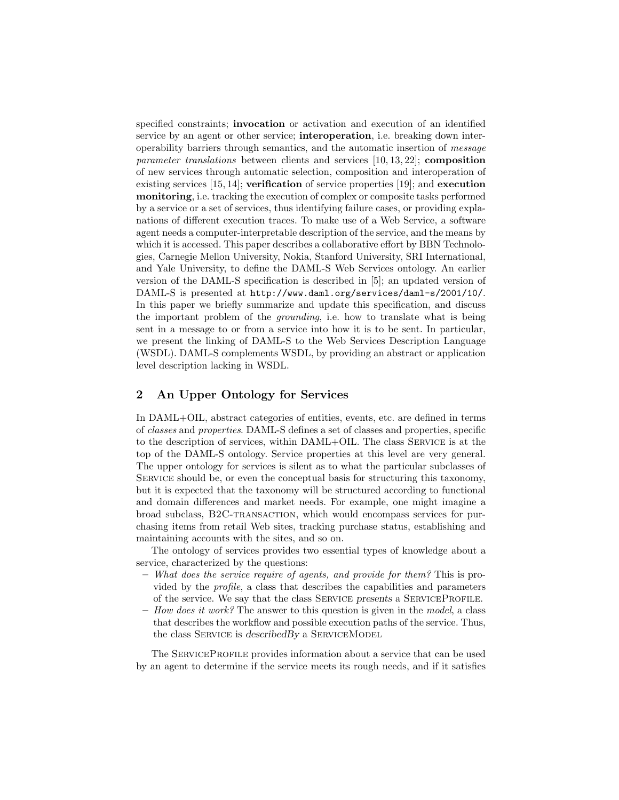specified constraints; invocation or activation and execution of an identified service by an agent or other service; interoperation, i.e. breaking down interoperability barriers through semantics, and the automatic insertion of message parameter translations between clients and services [10, 13, 22]; composition of new services through automatic selection, composition and interoperation of existing services [15, 14]; verification of service properties [19]; and execution monitoring, i.e. tracking the execution of complex or composite tasks performed by a service or a set of services, thus identifying failure cases, or providing explanations of different execution traces. To make use of a Web Service, a software agent needs a computer-interpretable description of the service, and the means by which it is accessed. This paper describes a collaborative effort by BBN Technologies, Carnegie Mellon University, Nokia, Stanford University, SRI International, and Yale University, to define the DAML-S Web Services ontology. An earlier version of the DAML-S specification is described in [5]; an updated version of DAML-S is presented at http://www.daml.org/services/daml-s/2001/10/. In this paper we briefly summarize and update this specification, and discuss the important problem of the grounding, i.e. how to translate what is being sent in a message to or from a service into how it is to be sent. In particular, we present the linking of DAML-S to the Web Services Description Language (WSDL). DAML-S complements WSDL, by providing an abstract or application level description lacking in WSDL.

### 2 An Upper Ontology for Services

In DAML+OIL, abstract categories of entities, events, etc. are defined in terms of classes and properties. DAML-S defines a set of classes and properties, specific to the description of services, within DAML+OIL. The class Service is at the top of the DAML-S ontology. Service properties at this level are very general. The upper ontology for services is silent as to what the particular subclasses of Service should be, or even the conceptual basis for structuring this taxonomy, but it is expected that the taxonomy will be structured according to functional and domain differences and market needs. For example, one might imagine a broad subclass, B2C-transaction, which would encompass services for purchasing items from retail Web sites, tracking purchase status, establishing and maintaining accounts with the sites, and so on.

The ontology of services provides two essential types of knowledge about a service, characterized by the questions:

- What does the service require of agents, and provide for them? This is provided by the profile, a class that describes the capabilities and parameters of the service. We say that the class SERVICE presents a SERVICE PROFILE.
- $-$  How does it work? The answer to this question is given in the model, a class that describes the workflow and possible execution paths of the service. Thus, the class SERVICE is describedBy a SERVICEMODEL

The SERVICEPROFILE provides information about a service that can be used by an agent to determine if the service meets its rough needs, and if it satisfies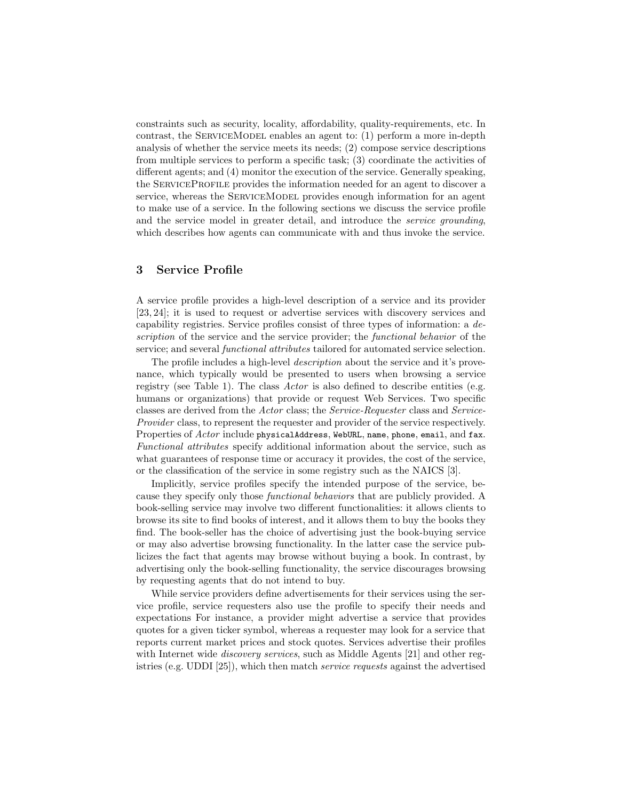constraints such as security, locality, affordability, quality-requirements, etc. In contrast, the SERVICEMODEL enables an agent to:  $(1)$  perform a more in-depth analysis of whether the service meets its needs; (2) compose service descriptions from multiple services to perform a specific task; (3) coordinate the activities of different agents; and (4) monitor the execution of the service. Generally speaking, the SERVICEPROFILE provides the information needed for an agent to discover a service, whereas the ServiceModel provides enough information for an agent to make use of a service. In the following sections we discuss the service profile and the service model in greater detail, and introduce the service grounding, which describes how agents can communicate with and thus invoke the service.

# 3 Service Profile

A service profile provides a high-level description of a service and its provider [23, 24]; it is used to request or advertise services with discovery services and capability registries. Service profiles consist of three types of information: a description of the service and the service provider; the functional behavior of the service; and several *functional attributes* tailored for automated service selection.

The profile includes a high-level description about the service and it's provenance, which typically would be presented to users when browsing a service registry (see Table 1). The class Actor is also defined to describe entities (e.g. humans or organizations) that provide or request Web Services. Two specific classes are derived from the Actor class; the Service-Requester class and Service-Provider class, to represent the requester and provider of the service respectively. Properties of Actor include physicalAddress, WebURL, name, phone, email, and fax. Functional attributes specify additional information about the service, such as what guarantees of response time or accuracy it provides, the cost of the service, or the classification of the service in some registry such as the NAICS [3].

Implicitly, service profiles specify the intended purpose of the service, because they specify only those functional behaviors that are publicly provided. A book-selling service may involve two different functionalities: it allows clients to browse its site to find books of interest, and it allows them to buy the books they find. The book-seller has the choice of advertising just the book-buying service or may also advertise browsing functionality. In the latter case the service publicizes the fact that agents may browse without buying a book. In contrast, by advertising only the book-selling functionality, the service discourages browsing by requesting agents that do not intend to buy.

While service providers define advertisements for their services using the service profile, service requesters also use the profile to specify their needs and expectations For instance, a provider might advertise a service that provides quotes for a given ticker symbol, whereas a requester may look for a service that reports current market prices and stock quotes. Services advertise their profiles with Internet wide *discovery services*, such as Middle Agents [21] and other registries (e.g. UDDI [25]), which then match service requests against the advertised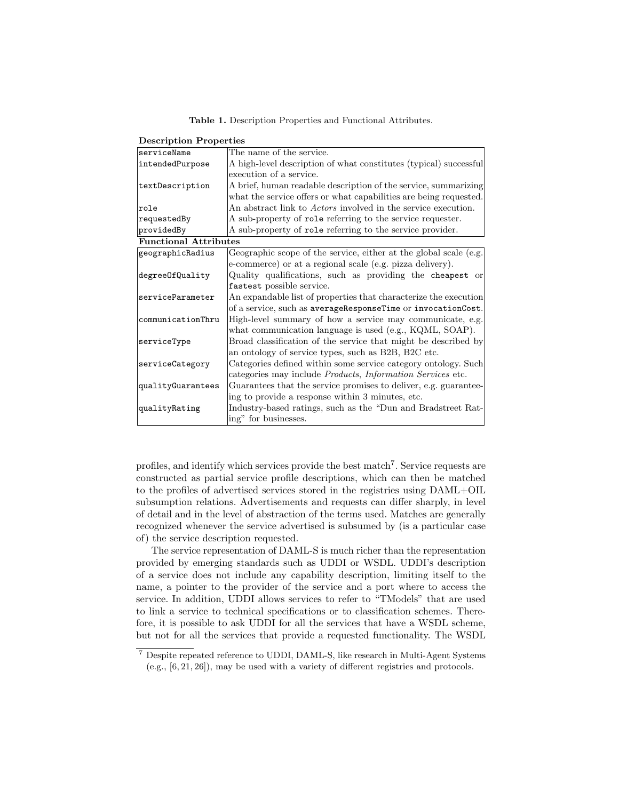Table 1. Description Properties and Functional Attributes.

| ровогтретон тороген          |                                                                           |
|------------------------------|---------------------------------------------------------------------------|
| serviceName                  | The name of the service.                                                  |
| intendedPurpose              | A high-level description of what constitutes (typical) successful         |
|                              | execution of a service.                                                   |
| textDescription              | A brief, human readable description of the service, summarizing           |
|                              | what the service offers or what capabilities are being requested.         |
| role                         | An abstract link to <i>Actors</i> involved in the service execution.      |
| requestedBy                  | A sub-property of role referring to the service requester.                |
| providedBy                   | A sub-property of role referring to the service provider.                 |
| <b>Functional Attributes</b> |                                                                           |
| geographicRadius             | Geographic scope of the service, either at the global scale (e.g.         |
|                              | e-commerce) or at a regional scale (e.g. pizza delivery).                 |
| degreeOfQuality              | Quality qualifications, such as providing the cheapest or                 |
|                              | fastest possible service.                                                 |
| serviceParameter             | An expandable list of properties that characterize the execution          |
|                              | of a service, such as averageResponseTime or invocationCost.              |
| communicationThru            | High-level summary of how a service may communicate, e.g.                 |
|                              | what communication language is used (e.g., KQML, SOAP).                   |
| serviceType                  | Broad classification of the service that might be described by            |
|                              | an ontology of service types, such as B2B, B2C etc.                       |
| serviceCategory              | Categories defined within some service category ontology. Such            |
|                              | categories may include <i>Products</i> , <i>Information Services</i> etc. |
| qualityGuarantees            | Guarantees that the service promises to deliver, e.g. guarantee-          |
|                              | ing to provide a response within 3 minutes, etc.                          |
| qualityRating                | Industry-based ratings, such as the "Dun and Bradstreet Rat-              |
|                              | ing" for businesses.                                                      |

Description Properties

profiles, and identify which services provide the best match<sup>7</sup>. Service requests are constructed as partial service profile descriptions, which can then be matched to the profiles of advertised services stored in the registries using DAML+OIL subsumption relations. Advertisements and requests can differ sharply, in level of detail and in the level of abstraction of the terms used. Matches are generally recognized whenever the service advertised is subsumed by (is a particular case of) the service description requested.

The service representation of DAML-S is much richer than the representation provided by emerging standards such as UDDI or WSDL. UDDI's description of a service does not include any capability description, limiting itself to the name, a pointer to the provider of the service and a port where to access the service. In addition, UDDI allows services to refer to "TModels" that are used to link a service to technical specifications or to classification schemes. Therefore, it is possible to ask UDDI for all the services that have a WSDL scheme, but not for all the services that provide a requested functionality. The WSDL

<sup>7</sup> Despite repeated reference to UDDI, DAML-S, like research in Multi-Agent Systems (e.g., [6, 21, 26]), may be used with a variety of different registries and protocols.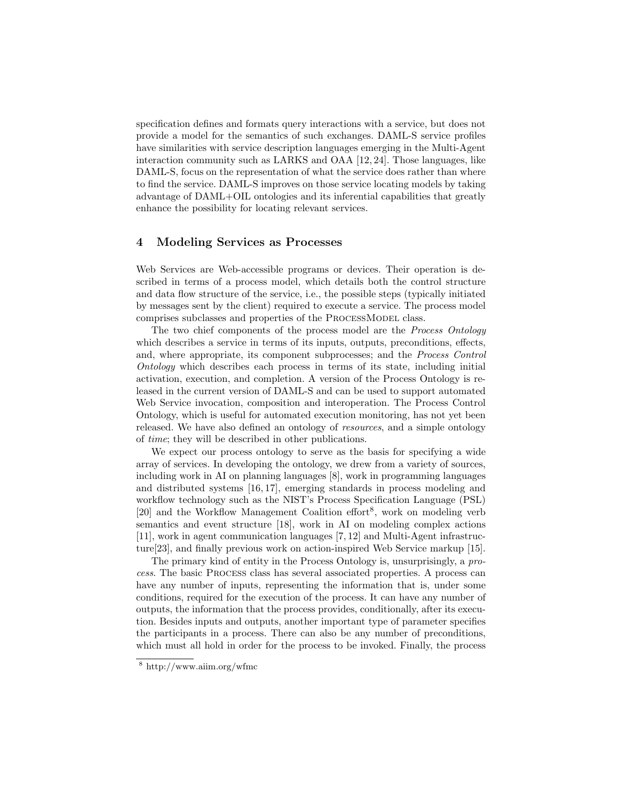specification defines and formats query interactions with a service, but does not provide a model for the semantics of such exchanges. DAML-S service profiles have similarities with service description languages emerging in the Multi-Agent interaction community such as LARKS and OAA [12, 24]. Those languages, like DAML-S, focus on the representation of what the service does rather than where to find the service. DAML-S improves on those service locating models by taking advantage of DAML+OIL ontologies and its inferential capabilities that greatly enhance the possibility for locating relevant services.

#### 4 Modeling Services as Processes

Web Services are Web-accessible programs or devices. Their operation is described in terms of a process model, which details both the control structure and data flow structure of the service, i.e., the possible steps (typically initiated by messages sent by the client) required to execute a service. The process model comprises subclasses and properties of the PROCESSMODEL class.

The two chief components of the process model are the Process Ontology which describes a service in terms of its inputs, outputs, preconditions, effects, and, where appropriate, its component subprocesses; and the Process Control Ontology which describes each process in terms of its state, including initial activation, execution, and completion. A version of the Process Ontology is released in the current version of DAML-S and can be used to support automated Web Service invocation, composition and interoperation. The Process Control Ontology, which is useful for automated execution monitoring, has not yet been released. We have also defined an ontology of *resources*, and a simple ontology of time; they will be described in other publications.

We expect our process ontology to serve as the basis for specifying a wide array of services. In developing the ontology, we drew from a variety of sources, including work in AI on planning languages [8], work in programming languages and distributed systems [16, 17], emerging standards in process modeling and workflow technology such as the NIST's Process Specification Language (PSL) [20] and the Workflow Management Coalition effort<sup>8</sup>, work on modeling verb semantics and event structure [18], work in AI on modeling complex actions [11], work in agent communication languages [7, 12] and Multi-Agent infrastructure[23], and finally previous work on action-inspired Web Service markup [15].

The primary kind of entity in the Process Ontology is, unsurprisingly, a process. The basic Process class has several associated properties. A process can have any number of inputs, representing the information that is, under some conditions, required for the execution of the process. It can have any number of outputs, the information that the process provides, conditionally, after its execution. Besides inputs and outputs, another important type of parameter specifies the participants in a process. There can also be any number of preconditions, which must all hold in order for the process to be invoked. Finally, the process

<sup>8</sup> http://www.aiim.org/wfmc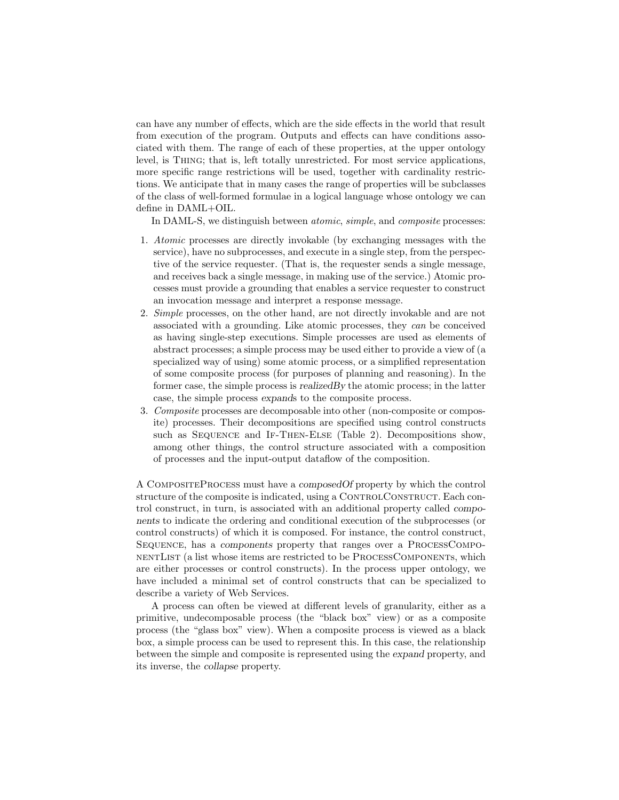can have any number of effects, which are the side effects in the world that result from execution of the program. Outputs and effects can have conditions associated with them. The range of each of these properties, at the upper ontology level, is Thing; that is, left totally unrestricted. For most service applications, more specific range restrictions will be used, together with cardinality restrictions. We anticipate that in many cases the range of properties will be subclasses of the class of well-formed formulae in a logical language whose ontology we can define in DAML+OIL.

In DAML-S, we distinguish between *atomic, simple*, and *composite* processes:

- 1. Atomic processes are directly invokable (by exchanging messages with the service), have no subprocesses, and execute in a single step, from the perspective of the service requester. (That is, the requester sends a single message, and receives back a single message, in making use of the service.) Atomic processes must provide a grounding that enables a service requester to construct an invocation message and interpret a response message.
- 2. Simple processes, on the other hand, are not directly invokable and are not associated with a grounding. Like atomic processes, they can be conceived as having single-step executions. Simple processes are used as elements of abstract processes; a simple process may be used either to provide a view of (a specialized way of using) some atomic process, or a simplified representation of some composite process (for purposes of planning and reasoning). In the former case, the simple process is realizedBy the atomic process; in the latter case, the simple process expands to the composite process.
- 3. Composite processes are decomposable into other (non-composite or composite) processes. Their decompositions are specified using control constructs such as Sequence and If-Then-Else (Table 2). Decompositions show, among other things, the control structure associated with a composition of processes and the input-output dataflow of the composition.

A CompositeProcess must have a composedOf property by which the control structure of the composite is indicated, using a CONTROLCONSTRUCT. Each control construct, in turn, is associated with an additional property called components to indicate the ordering and conditional execution of the subprocesses (or control constructs) of which it is composed. For instance, the control construct, Sequence, has a components property that ranges over a ProcessComponentList (a list whose items are restricted to be ProcessComponents, which are either processes or control constructs). In the process upper ontology, we have included a minimal set of control constructs that can be specialized to describe a variety of Web Services.

A process can often be viewed at different levels of granularity, either as a primitive, undecomposable process (the "black box" view) or as a composite process (the "glass box" view). When a composite process is viewed as a black box, a simple process can be used to represent this. In this case, the relationship between the simple and composite is represented using the expand property, and its inverse, the collapse property.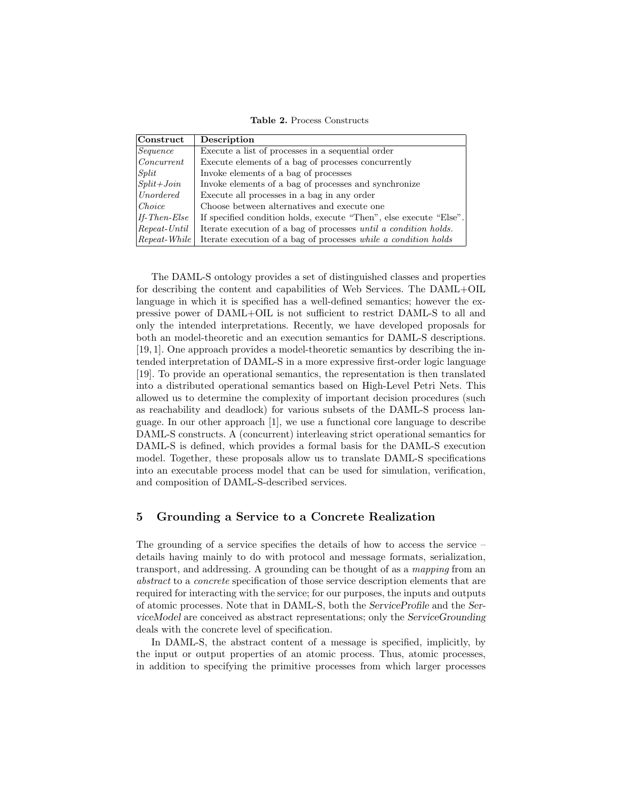Table 2. Process Constructs

| $ {\rm Construct} \>$    | Description                                                        |
|--------------------------|--------------------------------------------------------------------|
| Sequence                 | Execute a list of processes in a sequential order                  |
| Concurrent               | Execute elements of a bag of processes concurrently                |
| Split                    | Invoke elements of a bag of processes                              |
| $Split+Join$             | Invoke elements of a bag of processes and synchronize              |
| Unordered                | Execute all processes in a bag in any order                        |
| Choice                   | Choose between alternatives and execute one                        |
| $If$ -Then-Else          | If specified condition holds, execute "Then", else execute "Else". |
| $Re$ <i>Repeat-Until</i> | Iterate execution of a bag of processes until a condition holds.   |
| $Re$ <i>Pepeat-While</i> | Iterate execution of a bag of processes while a condition holds    |

The DAML-S ontology provides a set of distinguished classes and properties for describing the content and capabilities of Web Services. The DAML+OIL language in which it is specified has a well-defined semantics; however the expressive power of DAML+OIL is not sufficient to restrict DAML-S to all and only the intended interpretations. Recently, we have developed proposals for both an model-theoretic and an execution semantics for DAML-S descriptions. [19, 1]. One approach provides a model-theoretic semantics by describing the intended interpretation of DAML-S in a more expressive first-order logic language [19]. To provide an operational semantics, the representation is then translated into a distributed operational semantics based on High-Level Petri Nets. This allowed us to determine the complexity of important decision procedures (such as reachability and deadlock) for various subsets of the DAML-S process language. In our other approach [1], we use a functional core language to describe DAML-S constructs. A (concurrent) interleaving strict operational semantics for DAML-S is defined, which provides a formal basis for the DAML-S execution model. Together, these proposals allow us to translate DAML-S specifications into an executable process model that can be used for simulation, verification, and composition of DAML-S-described services.

### 5 Grounding a Service to a Concrete Realization

The grounding of a service specifies the details of how to access the service – details having mainly to do with protocol and message formats, serialization, transport, and addressing. A grounding can be thought of as a mapping from an abstract to a concrete specification of those service description elements that are required for interacting with the service; for our purposes, the inputs and outputs of atomic processes. Note that in DAML-S, both the ServiceProfile and the ServiceModel are conceived as abstract representations; only the ServiceGrounding deals with the concrete level of specification.

In DAML-S, the abstract content of a message is specified, implicitly, by the input or output properties of an atomic process. Thus, atomic processes, in addition to specifying the primitive processes from which larger processes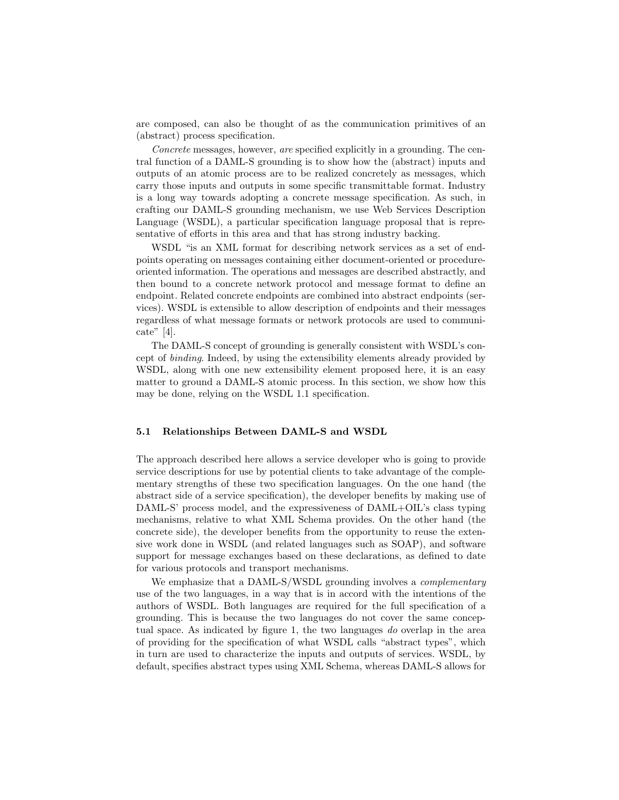are composed, can also be thought of as the communication primitives of an (abstract) process specification.

Concrete messages, however, are specified explicitly in a grounding. The central function of a DAML-S grounding is to show how the (abstract) inputs and outputs of an atomic process are to be realized concretely as messages, which carry those inputs and outputs in some specific transmittable format. Industry is a long way towards adopting a concrete message specification. As such, in crafting our DAML-S grounding mechanism, we use Web Services Description Language (WSDL), a particular specification language proposal that is representative of efforts in this area and that has strong industry backing.

WSDL "is an XML format for describing network services as a set of endpoints operating on messages containing either document-oriented or procedureoriented information. The operations and messages are described abstractly, and then bound to a concrete network protocol and message format to define an endpoint. Related concrete endpoints are combined into abstract endpoints (services). WSDL is extensible to allow description of endpoints and their messages regardless of what message formats or network protocols are used to communicate" [4].

The DAML-S concept of grounding is generally consistent with WSDL's concept of binding. Indeed, by using the extensibility elements already provided by WSDL, along with one new extensibility element proposed here, it is an easy matter to ground a DAML-S atomic process. In this section, we show how this may be done, relying on the WSDL 1.1 specification.

#### 5.1 Relationships Between DAML-S and WSDL

The approach described here allows a service developer who is going to provide service descriptions for use by potential clients to take advantage of the complementary strengths of these two specification languages. On the one hand (the abstract side of a service specification), the developer benefits by making use of DAML-S' process model, and the expressiveness of DAML+OIL's class typing mechanisms, relative to what XML Schema provides. On the other hand (the concrete side), the developer benefits from the opportunity to reuse the extensive work done in WSDL (and related languages such as SOAP), and software support for message exchanges based on these declarations, as defined to date for various protocols and transport mechanisms.

We emphasize that a DAML-S/WSDL grounding involves a *complementary* use of the two languages, in a way that is in accord with the intentions of the authors of WSDL. Both languages are required for the full specification of a grounding. This is because the two languages do not cover the same conceptual space. As indicated by figure 1, the two languages do overlap in the area of providing for the specification of what WSDL calls "abstract types", which in turn are used to characterize the inputs and outputs of services. WSDL, by default, specifies abstract types using XML Schema, whereas DAML-S allows for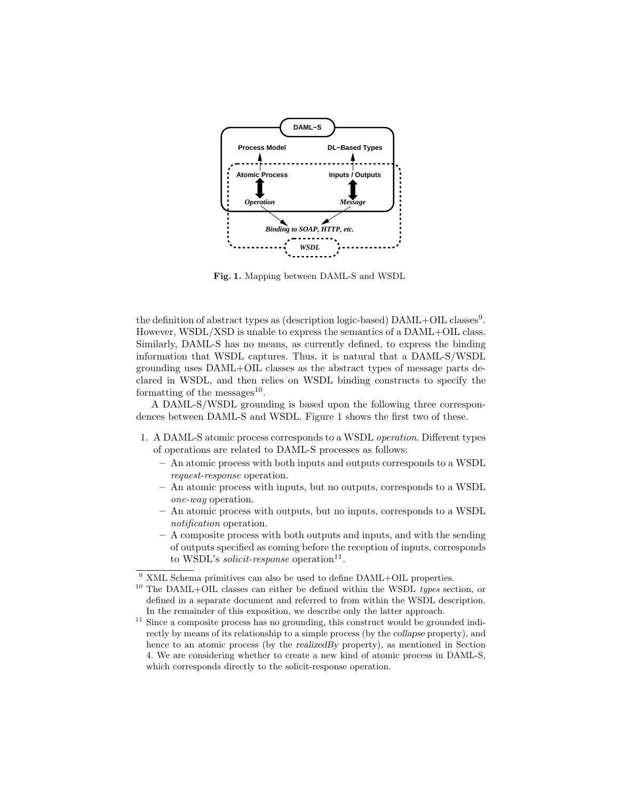

Fig. 1. Mapping between DAML-S and WSDL

the definition of abstract types as (description logic-based)  $\text{DAML}+\text{OIL}$  classes<sup>9</sup>. However, WSDL/XSD is unable to express the semantics of a DAML+OIL class. Similarly, DAML-S has no means, as currently defined, to express the binding information that WSDL captures. Thus, it is natural that a DAML-S/WSDL grounding uses DAML+OIL classes as the abstract types of message parts declared in WSDL, and then relies on WSDL binding constructs to specify the formatting of the messages $^{10}$ .

A DAML-S/WSDL grounding is based upon the following three correspondences between DAML-S and WSDL. Figure 1 shows the first two of these.

- 1. A DAML-S atomic process corresponds to a WSDL operation. Different types of operations are related to DAML-S processes as follows:
	- An atomic process with both inputs and outputs corresponds to a WSDL request-response operation.
	- An atomic process with inputs, but no outputs, corresponds to a WSDL one-way operation.
	- An atomic process with outputs, but no inputs, corresponds to a WSDL notification operation.
	- A composite process with both outputs and inputs, and with the sending of outputs specified as coming before the reception of inputs, corresponds to WSDL's *solicit-response* operation<sup>11</sup>.

 $\frac{9}{9}$  XML Schema primitives can also be used to define DAML+OIL properties.

<sup>&</sup>lt;sup>10</sup> The DAML+OIL classes can either be defined within the WSDL types section, or defined in a separate document and referred to from within the WSDL description. In the remainder of this exposition, we describe only the latter approach.

<sup>&</sup>lt;sup>11</sup> Since a composite process has no grounding, this construct would be grounded indirectly by means of its relationship to a simple process (by the collapse property), and hence to an atomic process (by the realizedBy property), as mentioned in Section 4. We are considering whether to create a new kind of atomic process in DAML-S, which corresponds directly to the solicit-response operation.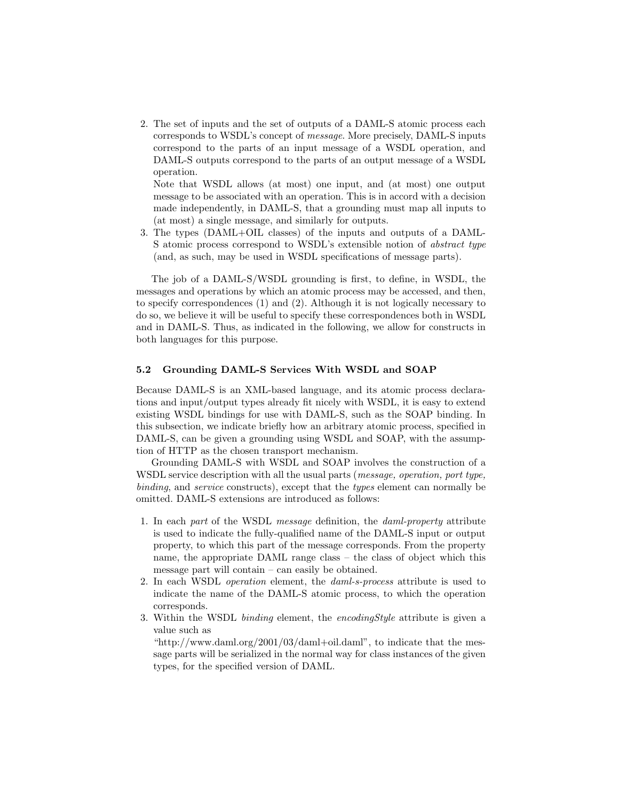2. The set of inputs and the set of outputs of a DAML-S atomic process each corresponds to WSDL's concept of message. More precisely, DAML-S inputs correspond to the parts of an input message of a WSDL operation, and DAML-S outputs correspond to the parts of an output message of a WSDL operation.

Note that WSDL allows (at most) one input, and (at most) one output message to be associated with an operation. This is in accord with a decision made independently, in DAML-S, that a grounding must map all inputs to (at most) a single message, and similarly for outputs.

3. The types (DAML+OIL classes) of the inputs and outputs of a DAML-S atomic process correspond to WSDL's extensible notion of abstract type (and, as such, may be used in WSDL specifications of message parts).

The job of a DAML-S/WSDL grounding is first, to define, in WSDL, the messages and operations by which an atomic process may be accessed, and then, to specify correspondences (1) and (2). Although it is not logically necessary to do so, we believe it will be useful to specify these correspondences both in WSDL and in DAML-S. Thus, as indicated in the following, we allow for constructs in both languages for this purpose.

#### 5.2 Grounding DAML-S Services With WSDL and SOAP

Because DAML-S is an XML-based language, and its atomic process declarations and input/output types already fit nicely with WSDL, it is easy to extend existing WSDL bindings for use with DAML-S, such as the SOAP binding. In this subsection, we indicate briefly how an arbitrary atomic process, specified in DAML-S, can be given a grounding using WSDL and SOAP, with the assumption of HTTP as the chosen transport mechanism.

Grounding DAML-S with WSDL and SOAP involves the construction of a WSDL service description with all the usual parts (*message, operation, port type,* binding, and service constructs), except that the types element can normally be omitted. DAML-S extensions are introduced as follows:

- 1. In each part of the WSDL message definition, the daml-property attribute is used to indicate the fully-qualified name of the DAML-S input or output property, to which this part of the message corresponds. From the property name, the appropriate DAML range class – the class of object which this message part will contain – can easily be obtained.
- 2. In each WSDL operation element, the daml-s-process attribute is used to indicate the name of the DAML-S atomic process, to which the operation corresponds.
- 3. Within the WSDL binding element, the encodingStyle attribute is given a value such as

"http://www.daml.org/2001/03/daml+oil.daml", to indicate that the message parts will be serialized in the normal way for class instances of the given types, for the specified version of DAML.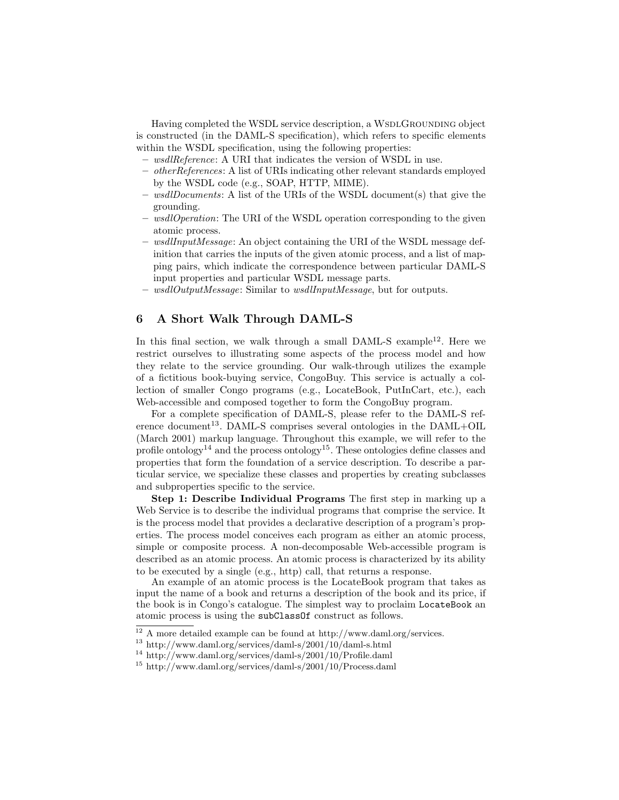Having completed the WSDL service description, a WSDLGROUNDING object is constructed (in the DAML-S specification), which refers to specific elements within the WSDL specification, using the following properties:

- wsdlReference: A URI that indicates the version of WSDL in use.
- otherReferences: A list of URIs indicating other relevant standards employed by the WSDL code (e.g., SOAP, HTTP, MIME).
- wsdlDocuments: A list of the URIs of the WSDL document(s) that give the grounding.
- wsdlOperation: The URI of the WSDL operation corresponding to the given atomic process.
- wsdlInputMessage: An object containing the URI of the WSDL message definition that carries the inputs of the given atomic process, and a list of mapping pairs, which indicate the correspondence between particular DAML-S input properties and particular WSDL message parts.
- wsdlOutputMessage: Similar to wsdlInputMessage, but for outputs.

# 6 A Short Walk Through DAML-S

In this final section, we walk through a small DAML-S example<sup>12</sup>. Here we restrict ourselves to illustrating some aspects of the process model and how they relate to the service grounding. Our walk-through utilizes the example of a fictitious book-buying service, CongoBuy. This service is actually a collection of smaller Congo programs (e.g., LocateBook, PutInCart, etc.), each Web-accessible and composed together to form the CongoBuy program.

For a complete specification of DAML-S, please refer to the DAML-S reference document<sup>13</sup>. DAML-S comprises several ontologies in the  $DAML+OIL$ (March 2001) markup language. Throughout this example, we will refer to the profile ontology<sup>14</sup> and the process ontology<sup>15</sup>. These ontologies define classes and properties that form the foundation of a service description. To describe a particular service, we specialize these classes and properties by creating subclasses and subproperties specific to the service.

Step 1: Describe Individual Programs The first step in marking up a Web Service is to describe the individual programs that comprise the service. It is the process model that provides a declarative description of a program's properties. The process model conceives each program as either an atomic process, simple or composite process. A non-decomposable Web-accessible program is described as an atomic process. An atomic process is characterized by its ability to be executed by a single (e.g., http) call, that returns a response.

An example of an atomic process is the LocateBook program that takes as input the name of a book and returns a description of the book and its price, if the book is in Congo's catalogue. The simplest way to proclaim LocateBook an atomic process is using the subClassOf construct as follows.

 $\frac{12}{12}$  A more detailed example can be found at http://www.daml.org/services.

<sup>13</sup> http://www.daml.org/services/daml-s/2001/10/daml-s.html

<sup>14</sup> http://www.daml.org/services/daml-s/2001/10/Profile.daml

<sup>15</sup> http://www.daml.org/services/daml-s/2001/10/Process.daml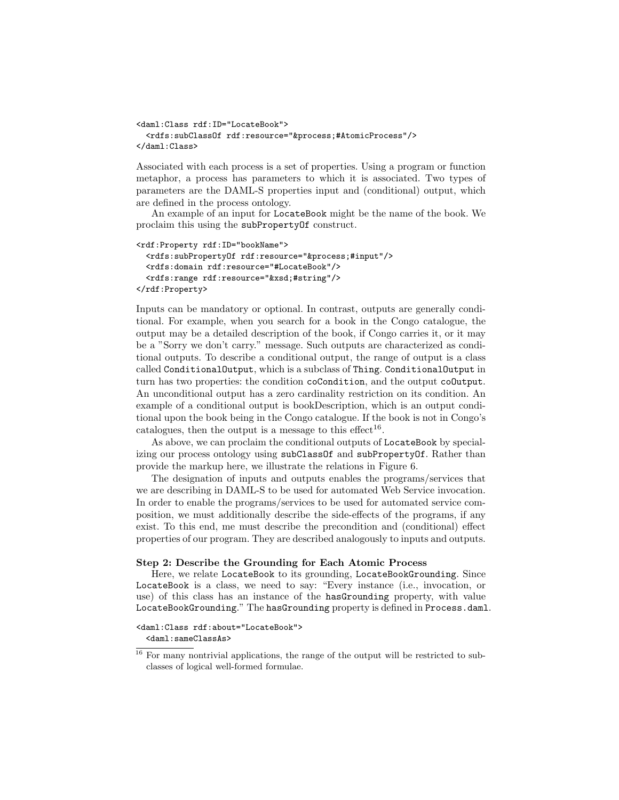```
<daml:Class rdf:ID="LocateBook">
  <rdfs:subClassOf rdf:resource="&process;#AtomicProcess"/>
</daml:Class>
```
Associated with each process is a set of properties. Using a program or function metaphor, a process has parameters to which it is associated. Two types of parameters are the DAML-S properties input and (conditional) output, which are defined in the process ontology.

An example of an input for LocateBook might be the name of the book. We proclaim this using the subPropertyOf construct.

```
<rdf:Property rdf:ID="bookName">
  <rdfs:subPropertyOf rdf:resource="&process;#input"/>
  <rdfs:domain rdf:resource="#LocateBook"/>
  <rdfs:range rdf:resource="&xsd;#string"/>
</rdf:Property>
```
Inputs can be mandatory or optional. In contrast, outputs are generally conditional. For example, when you search for a book in the Congo catalogue, the output may be a detailed description of the book, if Congo carries it, or it may be a "Sorry we don't carry." message. Such outputs are characterized as conditional outputs. To describe a conditional output, the range of output is a class called ConditionalOutput, which is a subclass of Thing. ConditionalOutput in turn has two properties: the condition coCondition, and the output coOutput. An unconditional output has a zero cardinality restriction on its condition. An example of a conditional output is bookDescription, which is an output conditional upon the book being in the Congo catalogue. If the book is not in Congo's catalogues, then the output is a message to this effect<sup>16</sup>.

As above, we can proclaim the conditional outputs of LocateBook by specializing our process ontology using subClassOf and subPropertyOf. Rather than provide the markup here, we illustrate the relations in Figure 6.

The designation of inputs and outputs enables the programs/services that we are describing in DAML-S to be used for automated Web Service invocation. In order to enable the programs/services to be used for automated service composition, we must additionally describe the side-effects of the programs, if any exist. To this end, me must describe the precondition and (conditional) effect properties of our program. They are described analogously to inputs and outputs.

#### Step 2: Describe the Grounding for Each Atomic Process

Here, we relate LocateBook to its grounding, LocateBookGrounding. Since LocateBook is a class, we need to say: "Every instance (i.e., invocation, or use) of this class has an instance of the hasGrounding property, with value LocateBookGrounding." The hasGrounding property is defined in Process.daml.

```
<daml:Class rdf:about="LocateBook">
  <daml:sameClassAs>
```
 $16$  For many nontrivial applications, the range of the output will be restricted to subclasses of logical well-formed formulae.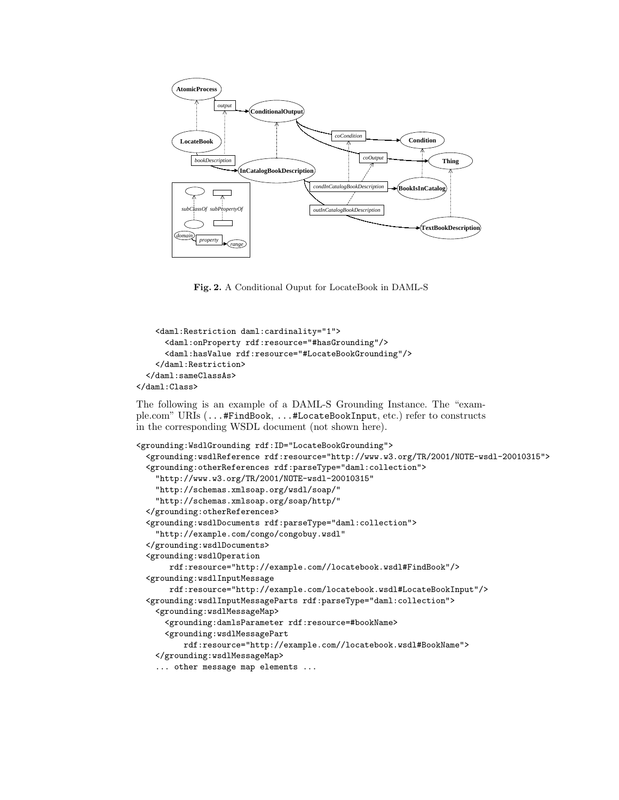

Fig. 2. A Conditional Ouput for LocateBook in DAML-S

```
<daml:Restriction daml:cardinality="1">
      <daml:onProperty rdf:resource="#hasGrounding"/>
      <daml:hasValue rdf:resource="#LocateBookGrounding"/>
    </daml:Restriction>
  </daml:sameClassAs>
</daml:Class>
```
The following is an example of a DAML-S Grounding Instance. The "example.com" URIs (...#FindBook, ...#LocateBookInput, etc.) refer to constructs in the corresponding WSDL document (not shown here).

```
<grounding:WsdlGrounding rdf:ID="LocateBookGrounding">
  <grounding:wsdlReference rdf:resource="http://www.w3.org/TR/2001/NOTE-wsdl-20010315">
  <grounding:otherReferences rdf:parseType="daml:collection">
    "http://www.w3.org/TR/2001/NOTE-wsdl-20010315"
    "http://schemas.xmlsoap.org/wsdl/soap/"
    "http://schemas.xmlsoap.org/soap/http/"
  </grounding:otherReferences>
  <grounding:wsdlDocuments rdf:parseType="daml:collection">
    "http://example.com/congo/congobuy.wsdl"
  </grounding:wsdlDocuments>
  <grounding:wsdlOperation
      rdf:resource="http://example.com//locatebook.wsdl#FindBook"/>
  <grounding:wsdlInputMessage
      rdf:resource="http://example.com/locatebook.wsdl#LocateBookInput"/>
  <grounding:wsdlInputMessageParts rdf:parseType="daml:collection">
    <grounding:wsdlMessageMap>
      <grounding:damlsParameter rdf:resource=#bookName>
      <grounding:wsdlMessagePart
          rdf:resource="http://example.com//locatebook.wsdl#BookName">
    </grounding:wsdlMessageMap>
    ... other message map elements ...
```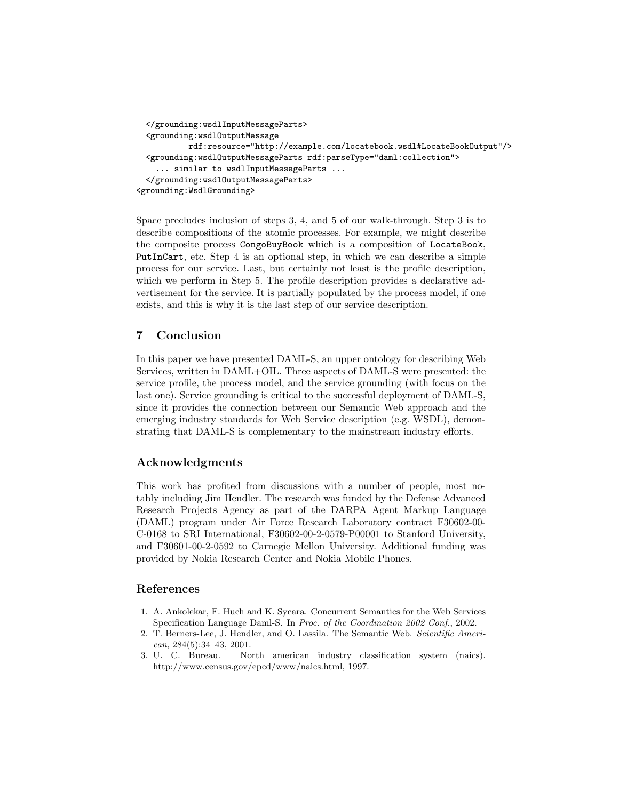```
</grounding:wsdlInputMessageParts>
  <grounding:wsdlOutputMessage
           rdf:resource="http://example.com/locatebook.wsdl#LocateBookOutput"/>
  <grounding:wsdlOutputMessageParts rdf:parseType="daml:collection">
    ... similar to wsdlInputMessageParts ...
  </grounding:wsdlOutputMessageParts>
<grounding:WsdlGrounding>
```
Space precludes inclusion of steps 3, 4, and 5 of our walk-through. Step 3 is to describe compositions of the atomic processes. For example, we might describe the composite process CongoBuyBook which is a composition of LocateBook, PutInCart, etc. Step 4 is an optional step, in which we can describe a simple process for our service. Last, but certainly not least is the profile description, which we perform in Step 5. The profile description provides a declarative advertisement for the service. It is partially populated by the process model, if one exists, and this is why it is the last step of our service description.

# 7 Conclusion

In this paper we have presented DAML-S, an upper ontology for describing Web Services, written in DAML+OIL. Three aspects of DAML-S were presented: the service profile, the process model, and the service grounding (with focus on the last one). Service grounding is critical to the successful deployment of DAML-S, since it provides the connection between our Semantic Web approach and the emerging industry standards for Web Service description (e.g. WSDL), demonstrating that DAML-S is complementary to the mainstream industry efforts.

# Acknowledgments

This work has profited from discussions with a number of people, most notably including Jim Hendler. The research was funded by the Defense Advanced Research Projects Agency as part of the DARPA Agent Markup Language (DAML) program under Air Force Research Laboratory contract F30602-00- C-0168 to SRI International, F30602-00-2-0579-P00001 to Stanford University, and F30601-00-2-0592 to Carnegie Mellon University. Additional funding was provided by Nokia Research Center and Nokia Mobile Phones.

### References

- 1. A. Ankolekar, F. Huch and K. Sycara. Concurrent Semantics for the Web Services Specification Language Daml-S. In Proc. of the Coordination 2002 Conf., 2002.
- 2. T. Berners-Lee, J. Hendler, and O. Lassila. The Semantic Web. Scientific Ameri $can, 284(5):34-43, 2001.$
- 3. U. C. Bureau. North american industry classification system (naics). http://www.census.gov/epcd/www/naics.html, 1997.